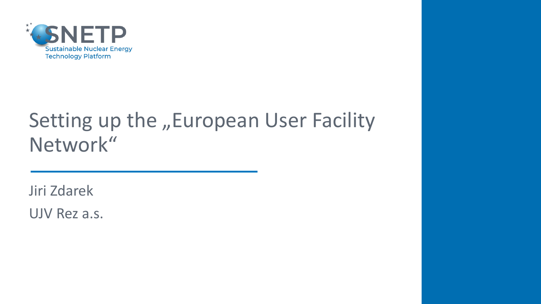

## Setting up the "European User Facility Network"

Jiri Zdarek

UJV Rez a.s.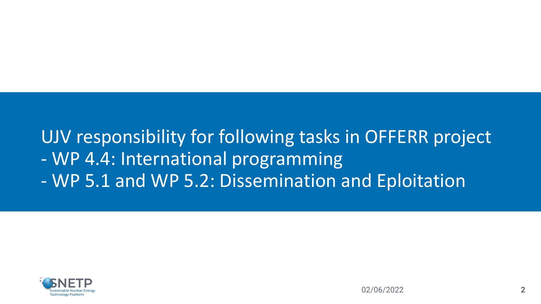### UJV responsibility for following tasks in OFFERR project - WP 4.4: International programming - WP 5.1 and WP 5.2: Dissemination and Eploitation

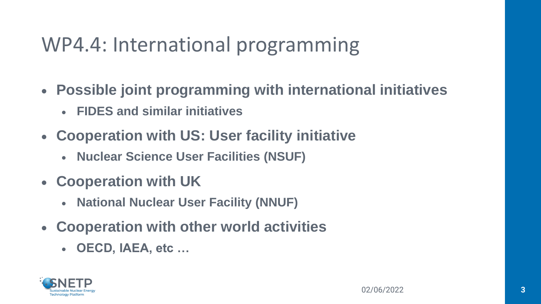## WP4.4: International programming

- **Possible joint programming with international initiatives**
	- **FIDES and similar initiatives**
- **Cooperation with US: User facility initiative**
	- **Nuclear Science User Facilities (NSUF)**
- **Cooperation with UK**
	- **National Nuclear User Facility (NNUF)**
- **Cooperation with other world activities**
	- **OECD, IAEA, etc …**

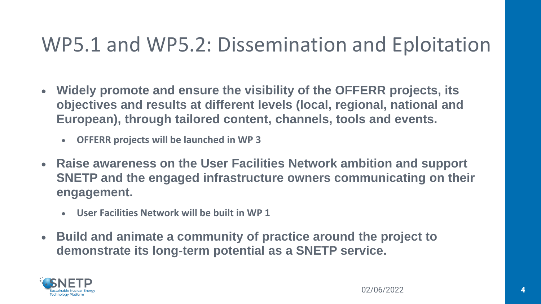## WP5.1 and WP5.2: Dissemination and Eploitation

- **Widely promote and ensure the visibility of the OFFERR projects, its objectives and results at different levels (local, regional, national and European), through tailored content, channels, tools and events.**
	- **OFFERR projects will be launched in WP 3**
- **Raise awareness on the User Facilities Network ambition and support SNETP and the engaged infrastructure owners communicating on their engagement.**
	- **User Facilities Network will be built in WP 1**
- **Build and animate a community of practice around the project to demonstrate its long-term potential as a SNETP service.**

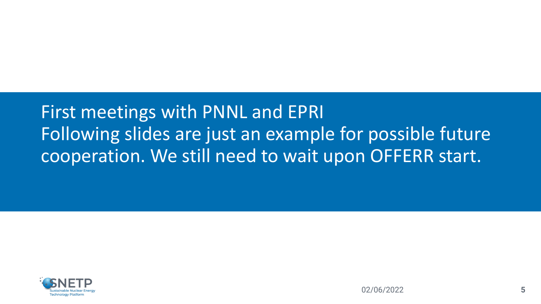### First meetings with PNNL and EPRI Following slides are just an example for possible future cooperation. We still need to wait upon OFFERR start.

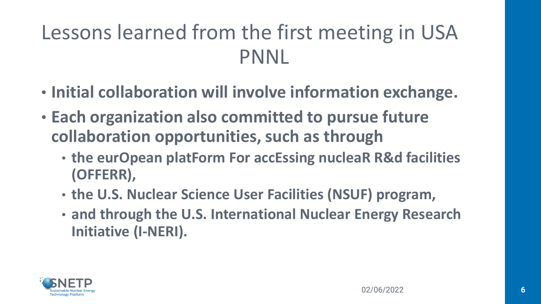## Lessons learned from the first meeting in USA PNNL

- **Initial collaboration will involve information exchange.**
- **Each organization also committed to pursue future collaboration opportunities, such as through**
	- **the eurOpean platForm For accEssing nucleaR R&d facilities (OFFERR),**
	- **the U.S. Nuclear Science User Facilities (NSUF) program,**
	- **and through the U.S. International Nuclear Energy Research Initiative (I-NERI).**

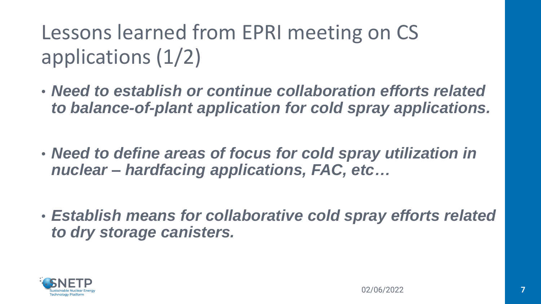Lessons learned from EPRI meeting on CS applications (1/2)

- *Need to establish or continue collaboration efforts related to balance-of-plant application for cold spray applications.*
- *Need to define areas of focus for cold spray utilization in nuclear – hardfacing applications, FAC, etc…*
- *Establish means for collaborative cold spray efforts related to dry storage canisters.*

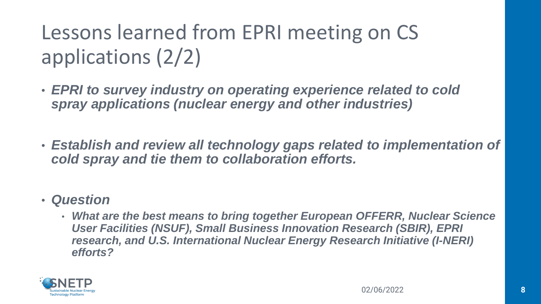Lessons learned from EPRI meeting on CS applications (2/2)

- *EPRI to survey industry on operating experience related to cold spray applications (nuclear energy and other industries)*
- *Establish and review all technology gaps related to implementation of cold spray and tie them to collaboration efforts.*

#### • *Question*

• *What are the best means to bring together European OFFERR, Nuclear Science User Facilities (NSUF), Small Business Innovation Research (SBIR), EPRI research, and U.S. International Nuclear Energy Research Initiative (I-NERI) efforts?*

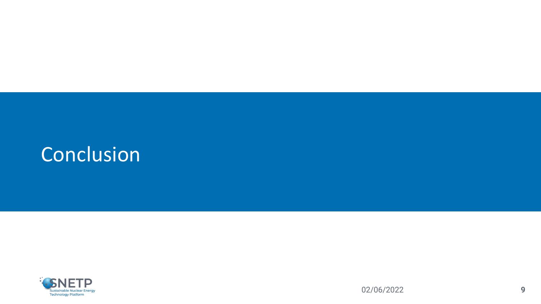## **Conclusion**

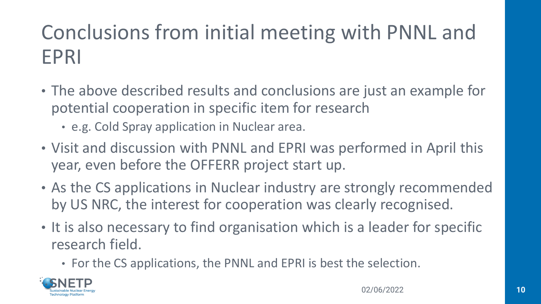# Conclusions from initial meeting with PNNL and EPRI

- The above described results and conclusions are just an example for potential cooperation in specific item for research
	- e.g. Cold Spray application in Nuclear area.
- Visit and discussion with PNNL and EPRI was performed in April this year, even before the OFFERR project start up.
- As the CS applications in Nuclear industry are strongly recommended by US NRC, the interest for cooperation was clearly recognised.
- It is also necessary to find organisation which is a leader for specific research field.
	- For the CS applications, the PNNL and EPRI is best the selection.

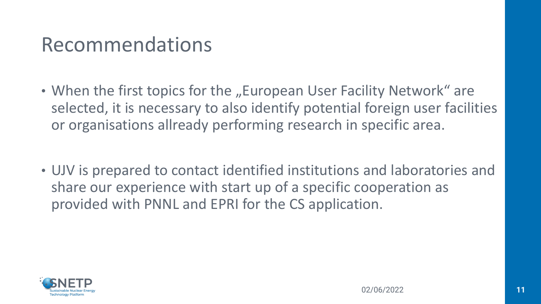### Recommendations

- When the first topics for the "European User Facility Network" are selected, it is necessary to also identify potential foreign user facilities or organisations allready performing research in specific area.
- UJV is prepared to contact identified institutions and laboratories and share our experience with start up of a specific cooperation as provided with PNNL and EPRI for the CS application.

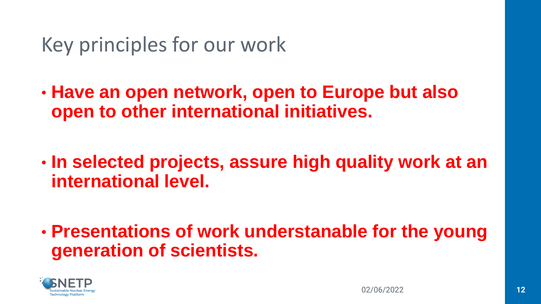## Key principles for our work

- **Have an open network, open to Europe but also open to other international initiatives.**
- **In selected projects, assure high quality work at an international level.**

• **Presentations of work understanable for the young generation of scientists.**